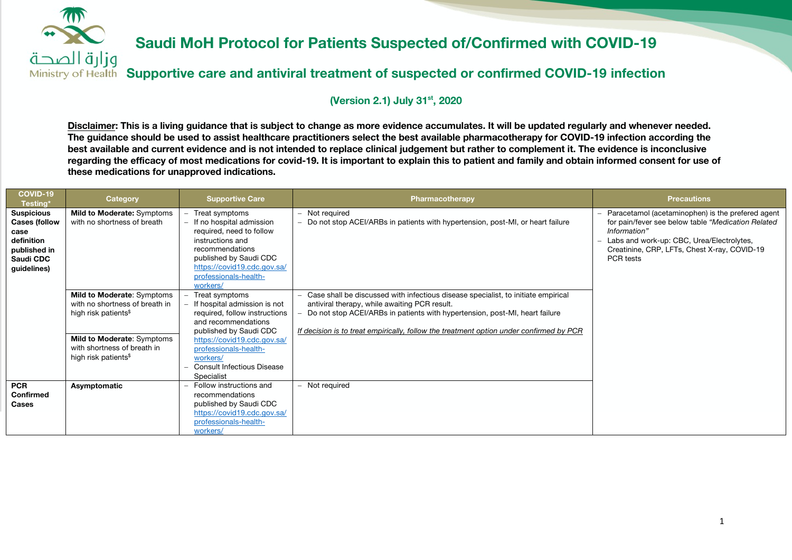

**Supportive care and antiviral treatment of suspected or confirmed COVID-19 infection**

### **(Version 2.1) July 31st, 2020**

**Disclaimer: This is a living guidance that is subject to change as more evidence accumulates. It will be updated regularly and whenever needed. The guidance should be used to assist healthcare practitioners select the best available pharmacotherapy for COVID-19 infection according the best available and current evidence and is not intended to replace clinical judgement but rather to complement it. The evidence is inconclusive regarding the efficacy of most medications for covid-19. It is important to explain this to patient and family and obtain informed consent for use of these medications for unapproved indications.** 

| <b>COVID-19</b><br>Testing*                                                                                 | Category                                                                                             | <b>Supportive Care</b>                                                                                                                                                                                        | Pharmacotherapy                                                                                                                                                                                                                                                                                              | <b>Precautions</b>                                                                                                                                                                                                                 |
|-------------------------------------------------------------------------------------------------------------|------------------------------------------------------------------------------------------------------|---------------------------------------------------------------------------------------------------------------------------------------------------------------------------------------------------------------|--------------------------------------------------------------------------------------------------------------------------------------------------------------------------------------------------------------------------------------------------------------------------------------------------------------|------------------------------------------------------------------------------------------------------------------------------------------------------------------------------------------------------------------------------------|
| <b>Suspicious</b><br><b>Cases (follow</b><br>case<br>definition<br>published in<br>Saudi CDC<br>guidelines) | Mild to Moderate: Symptoms<br>with no shortness of breath                                            | Treat symptoms<br>- If no hospital admission<br>required, need to follow<br>instructions and<br>recommendations<br>published by Saudi CDC<br>https://covid19.cdc.gov.sa/<br>professionals-health-<br>workers/ | Not required<br>Do not stop ACEI/ARBs in patients with hypertension, post-MI, or heart failure                                                                                                                                                                                                               | Paracetamol (acetaminophen) is the prefered agent<br>for pain/fever see below table "Medication Related"<br>Information"<br>Labs and work-up: CBC, Urea/Electrolytes,<br>Creatinine, CRP, LFTs, Chest X-ray, COVID-19<br>PCR tests |
|                                                                                                             | Mild to Moderate: Symptoms<br>with no shortness of breath in<br>high risk patients <sup>\$</sup>     | - Treat symptoms<br>If hospital admission is not<br>required, follow instructions<br>and recommendations<br>published by Saudi CDC                                                                            | Case shall be discussed with infectious disease specialist, to initiate empirical<br>antiviral therapy, while awaiting PCR result.<br>Do not stop ACEI/ARBs in patients with hypertension, post-MI, heart failure<br>If decision is to treat empirically, follow the treatment option under confirmed by PCR |                                                                                                                                                                                                                                    |
|                                                                                                             | <b>Mild to Moderate: Symptoms</b><br>with shortness of breath in<br>high risk patients <sup>\$</sup> | https://covid19.cdc.gov.sa/<br>professionals-health-<br>workers/<br>Consult Infectious Disease<br>Specialist                                                                                                  |                                                                                                                                                                                                                                                                                                              |                                                                                                                                                                                                                                    |
| <b>PCR</b><br><b>Confirmed</b><br><b>Cases</b>                                                              | Asymptomatic                                                                                         | - Follow instructions and<br>recommendations<br>published by Saudi CDC<br>https://covid19.cdc.gov.sa/<br>professionals-health-<br>workers/                                                                    | Not required                                                                                                                                                                                                                                                                                                 |                                                                                                                                                                                                                                    |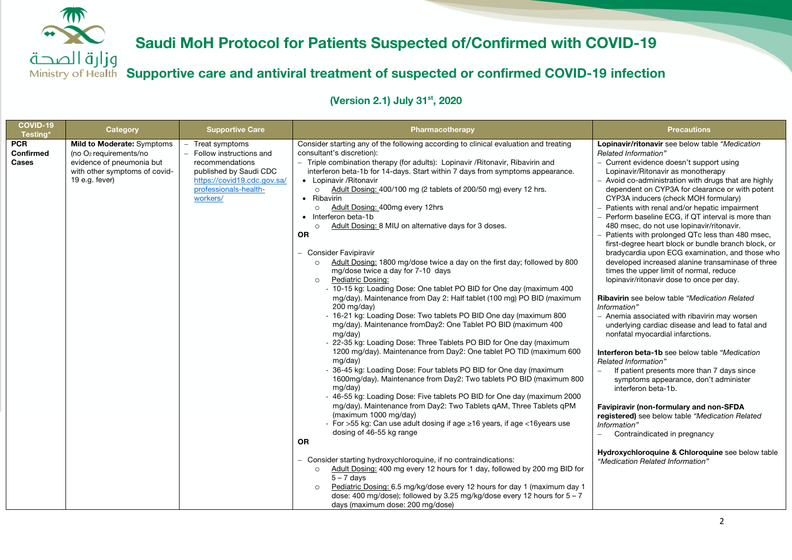وزارة الصحة **Supportive care and antiviral treatment of suspected or confirmed COVID-19 infection**

| COVID-19<br>Testing*                           | Category                                                                                                                               | <b>Supportive Care</b>                                                                                                                                         | Pharmacotherapy                                                                                                                                                                                                                                                                                                                                                                                                                                                                                                                                                                                                                                                                                                                                                                                                                                                                                                                                                                                                                                                                                                                                                                                                                                                                                                                                                                                                                                                                                                                                                                                                                                                                                                                                                                                                                                                                                                                                                                                                                                                                         | <b>Precautions</b>                                                                                                                                                                                                                                                                                                                                                                                                                                                                                                                                                                                                                                                                                                                                                                                                                                                                                                                                                                                                                                                                                                                                                                                                                                                                                                                                                                                                             |
|------------------------------------------------|----------------------------------------------------------------------------------------------------------------------------------------|----------------------------------------------------------------------------------------------------------------------------------------------------------------|-----------------------------------------------------------------------------------------------------------------------------------------------------------------------------------------------------------------------------------------------------------------------------------------------------------------------------------------------------------------------------------------------------------------------------------------------------------------------------------------------------------------------------------------------------------------------------------------------------------------------------------------------------------------------------------------------------------------------------------------------------------------------------------------------------------------------------------------------------------------------------------------------------------------------------------------------------------------------------------------------------------------------------------------------------------------------------------------------------------------------------------------------------------------------------------------------------------------------------------------------------------------------------------------------------------------------------------------------------------------------------------------------------------------------------------------------------------------------------------------------------------------------------------------------------------------------------------------------------------------------------------------------------------------------------------------------------------------------------------------------------------------------------------------------------------------------------------------------------------------------------------------------------------------------------------------------------------------------------------------------------------------------------------------------------------------------------------------|--------------------------------------------------------------------------------------------------------------------------------------------------------------------------------------------------------------------------------------------------------------------------------------------------------------------------------------------------------------------------------------------------------------------------------------------------------------------------------------------------------------------------------------------------------------------------------------------------------------------------------------------------------------------------------------------------------------------------------------------------------------------------------------------------------------------------------------------------------------------------------------------------------------------------------------------------------------------------------------------------------------------------------------------------------------------------------------------------------------------------------------------------------------------------------------------------------------------------------------------------------------------------------------------------------------------------------------------------------------------------------------------------------------------------------|
| <b>PCR</b><br><b>Confirmed</b><br><b>Cases</b> | Mild to Moderate: Symptoms<br>(no $O2$ requirements/no<br>evidence of pneumonia but<br>with other symptoms of covid-<br>19 e.g. fever) | - Treat symptoms<br>- Follow instructions and<br>recommendations<br>published by Saudi CDC<br>https://covid19.cdc.gov.sa/<br>professionals-health-<br>workers/ | Consider starting any of the following according to clinical evaluation and treating<br>consultant's discretion):<br>- Triple combination therapy (for adults): Lopinavir / Ritonavir, Ribavirin and<br>interferon beta-1b for 14-days. Start within 7 days from symptoms appearance.<br>• Lopinavir / Ritonavir<br>Adult Dosing: 400/100 mg (2 tablets of 200/50 mg) every 12 hrs.<br>$\circ$<br>• Ribavirin<br>Adult Dosing: 400mg every 12hrs<br>$\circ$<br>• Interferon beta-1b<br>Adult Dosing: 8 MIU on alternative days for 3 doses.<br>$\Omega$<br><b>OR</b><br><b>Consider Favipiravir</b><br>Adult Dosing: 1800 mg/dose twice a day on the first day; followed by 800<br>$\circ$<br>mg/dose twice a day for 7-10 days<br>Pediatric Dosing:<br>$\circ$<br>- 10-15 kg: Loading Dose: One tablet PO BID for One day (maximum 400<br>mg/day). Maintenance from Day 2: Half tablet (100 mg) PO BID (maximum<br>200 mg/day)<br>- 16-21 kg: Loading Dose: Two tablets PO BID One day (maximum 800)<br>mg/day). Maintenance fromDay2: One Tablet PO BID (maximum 400<br>mg/day)<br>- 22-35 kg: Loading Dose: Three Tablets PO BID for One day (maximum<br>1200 mg/day). Maintenance from Day2: One tablet PO TID (maximum 600<br>mg/day)<br>- 36-45 kg: Loading Dose: Four tablets PO BID for One day (maximum<br>1600mg/day). Maintenance from Day2: Two tablets PO BID (maximum 800<br>mg/day)<br>- 46-55 kg: Loading Dose: Five tablets PO BID for One day (maximum 2000<br>mg/day). Maintenance from Day2: Two Tablets qAM, Three Tablets qPM<br>(maximum 1000 mg/day)<br>- For >55 kg: Can use adult dosing if age ≥16 years, if age <16years use<br>dosing of 46-55 kg range<br><b>OR</b><br>- Consider starting hydroxychloroquine, if no contraindications:<br>Adult Dosing: 400 mg every 12 hours for 1 day, followed by 200 mg BID for<br>$\circ$<br>$5 - 7$ davs<br>Pediatric Dosing: 6.5 mg/kg/dose every 12 hours for day 1 (maximum day 1)<br>$\circ$<br>dose: 400 mg/dose); followed by 3.25 mg/kg/dose every 12 hours for $5 - 7$<br>days (maximum dose: 200 mg/dose) | Lopinavir/ritonavir see below table "Medication<br>Related Information"<br>- Current evidence doesn't support using<br>Lopinavir/Ritonavir as monotherapy<br>- Avoid co-administration with drugs that are highly<br>dependent on CYP3A for clearance or with potent<br>CYP3A inducers (check MOH formulary)<br>Patients with renal and/or hepatic impairment<br>Perform baseline ECG, if QT interval is more than<br>480 msec, do not use lopinavir/ritonavir.<br>Patients with prolonged QTc less than 480 msec,<br>first-degree heart block or bundle branch block, or<br>bradycardia upon ECG examination, and those who<br>developed increased alanine transaminase of three<br>times the upper limit of normal, reduce<br>lopinavir/ritonavir dose to once per day.<br>Ribavirin see below table "Medication Related<br>Information"<br>- Anemia associated with ribavirin may worsen<br>underlying cardiac disease and lead to fatal and<br>nonfatal myocardial infarctions.<br>Interferon beta-1b see below table "Medication"<br>Related Information"<br>If patient presents more than 7 days since<br>symptoms appearance, don't administer<br>interferon beta-1b.<br>Favipiravir (non-formulary and non-SFDA<br>registered) see below table "Medication Related<br>Information"<br>Contraindicated in pregnancy<br>$\equiv$<br>Hydroxychloroquine & Chloroquine see below table<br>"Medication Related Information" |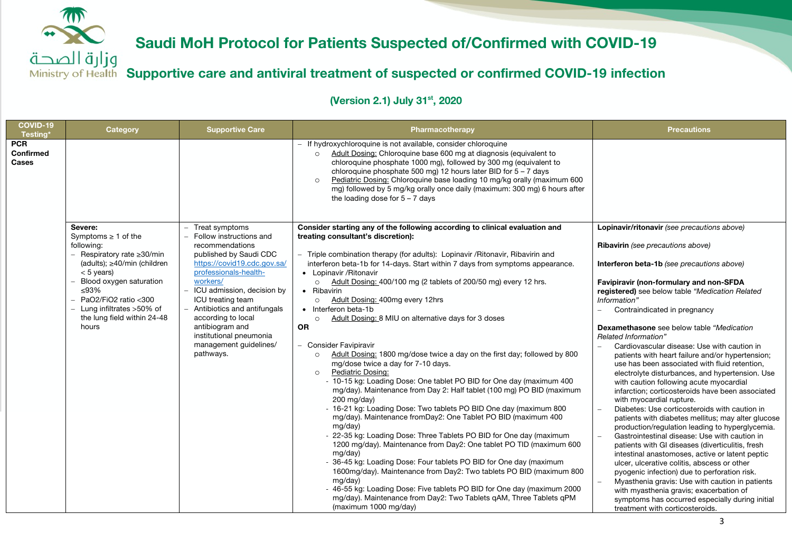

**Supportive care and antiviral treatment of suspected or confirmed COVID-19 infection**

| COVID-19<br>Testing*                    | Category                                                                                                           | <b>Supportive Care</b>                                                                                           | Pharmacotherapy                                                                                                                                                                                                                                                                                                                                                                                                                                                                                                                                                                                                                                                                                                                                                                                                                                                                                                                                                                                                | <b>Precautions</b>                                                                                                                                                                                                                                                                                                                                                                                                                                                                                                                                                                                                                                                                                                                                                                                                                                                                                                                                                                                        |
|-----------------------------------------|--------------------------------------------------------------------------------------------------------------------|------------------------------------------------------------------------------------------------------------------|----------------------------------------------------------------------------------------------------------------------------------------------------------------------------------------------------------------------------------------------------------------------------------------------------------------------------------------------------------------------------------------------------------------------------------------------------------------------------------------------------------------------------------------------------------------------------------------------------------------------------------------------------------------------------------------------------------------------------------------------------------------------------------------------------------------------------------------------------------------------------------------------------------------------------------------------------------------------------------------------------------------|-----------------------------------------------------------------------------------------------------------------------------------------------------------------------------------------------------------------------------------------------------------------------------------------------------------------------------------------------------------------------------------------------------------------------------------------------------------------------------------------------------------------------------------------------------------------------------------------------------------------------------------------------------------------------------------------------------------------------------------------------------------------------------------------------------------------------------------------------------------------------------------------------------------------------------------------------------------------------------------------------------------|
| <b>PCR</b><br><b>Confirmed</b><br>Cases |                                                                                                                    |                                                                                                                  | - If hydroxychloroquine is not available, consider chloroquine<br>Adult Dosing: Chloroquine base 600 mg at diagnosis (equivalent to<br>$\Omega$<br>chloroquine phosphate 1000 mg), followed by 300 mg (equivalent to<br>chloroquine phosphate 500 mg) 12 hours later BID for $5 - 7$ days<br>Pediatric Dosing: Chloroquine base loading 10 mg/kg orally (maximum 600<br>$\Omega$<br>mg) followed by 5 mg/kg orally once daily (maximum: 300 mg) 6 hours after<br>the loading dose for $5 - 7$ days                                                                                                                                                                                                                                                                                                                                                                                                                                                                                                             |                                                                                                                                                                                                                                                                                                                                                                                                                                                                                                                                                                                                                                                                                                                                                                                                                                                                                                                                                                                                           |
|                                         | Severe:<br>Symptoms $\geq 1$ of the<br>following:<br>- Respiratory rate $\geq$ 30/min                              | - Treat symptoms<br>Follow instructions and<br>recommendations<br>published by Saudi CDC                         | Consider starting any of the following according to clinical evaluation and<br>treating consultant's discretion):<br>- Triple combination therapy (for adults): Lopinavir / Ritonavir, Ribavirin and                                                                                                                                                                                                                                                                                                                                                                                                                                                                                                                                                                                                                                                                                                                                                                                                           | Lopinavir/ritonavir (see precautions above)<br><b>Ribavirin</b> (see precautions above)                                                                                                                                                                                                                                                                                                                                                                                                                                                                                                                                                                                                                                                                                                                                                                                                                                                                                                                   |
|                                         | (adults); $\geq$ 40/min (children<br>$< 5$ years)                                                                  | https://covid19.cdc.gov.sa/<br>professionals-health-                                                             | interferon beta-1b for 14-days. Start within 7 days from symptoms appearance.<br>• Lopinavir / Ritonavir                                                                                                                                                                                                                                                                                                                                                                                                                                                                                                                                                                                                                                                                                                                                                                                                                                                                                                       | Interferon beta-1b (see precautions above)                                                                                                                                                                                                                                                                                                                                                                                                                                                                                                                                                                                                                                                                                                                                                                                                                                                                                                                                                                |
|                                         | Blood oxygen saturation<br>≤93%<br>PaO2/FiO2 ratio <300<br>Lung infiltrates >50% of<br>the lung field within 24-48 | workers/<br>ICU admission, decision by<br>ICU treating team<br>Antibiotics and antifungals<br>according to local | Adult Dosing: 400/100 mg (2 tablets of 200/50 mg) every 12 hrs.<br>$\circ$<br>• Ribavirin<br>Adult Dosing: 400mg every 12hrs<br>$\circ$<br>• Interferon beta-1b<br>Adult Dosing: 8 MIU on alternative days for 3 doses<br>$\circ$                                                                                                                                                                                                                                                                                                                                                                                                                                                                                                                                                                                                                                                                                                                                                                              | Favipiravir (non-formulary and non-SFDA<br>registered) see below table "Medication Related<br>Information"<br>Contraindicated in pregnancy                                                                                                                                                                                                                                                                                                                                                                                                                                                                                                                                                                                                                                                                                                                                                                                                                                                                |
|                                         | hours                                                                                                              | antibiogram and<br>institutional pneumonia<br>management guidelines/<br>pathways.                                | <b>OR</b><br>- Consider Favipiravir<br>Adult Dosing: 1800 mg/dose twice a day on the first day; followed by 800<br>$\circ$<br>mg/dose twice a day for 7-10 days.<br>Pediatric Dosing:<br>$\circ$<br>- 10-15 kg: Loading Dose: One tablet PO BID for One day (maximum 400<br>mg/day). Maintenance from Day 2: Half tablet (100 mg) PO BID (maximum<br>200 mg/day)<br>- 16-21 kg: Loading Dose: Two tablets PO BID One day (maximum 800)<br>mg/day). Maintenance fromDay2: One Tablet PO BID (maximum 400<br>mq/day)<br>- 22-35 kg: Loading Dose: Three Tablets PO BID for One day (maximum<br>1200 mg/day). Maintenance from Day2: One tablet PO TID (maximum 600<br>mg/day)<br>- 36-45 kg: Loading Dose: Four tablets PO BID for One day (maximum<br>1600mg/day). Maintenance from Day2: Two tablets PO BID (maximum 800<br>mg/day)<br>- 46-55 kg: Loading Dose: Five tablets PO BID for One day (maximum 2000)<br>mg/day). Maintenance from Day2: Two Tablets gAM, Three Tablets gPM<br>(maximum 1000 mg/day) | Dexamethasone see below table "Medication"<br>Related Information"<br>Cardiovascular disease: Use with caution in<br>patients with heart failure and/or hypertension;<br>use has been associated with fluid retention,<br>electrolyte disturbances, and hypertension. Use<br>with caution following acute myocardial<br>infarction; corticosteroids have been associated<br>with myocardial rupture.<br>Diabetes: Use corticosteroids with caution in<br>patients with diabetes mellitus; may alter glucose<br>production/regulation leading to hyperglycemia.<br>Gastrointestinal disease: Use with caution in<br>patients with GI diseases (diverticulitis, fresh<br>intestinal anastomoses, active or latent peptic<br>ulcer, ulcerative colitis, abscess or other<br>pyogenic infection) due to perforation risk.<br>Myasthenia gravis: Use with caution in patients<br>with myasthenia gravis; exacerbation of<br>symptoms has occurred especially during initial<br>treatment with corticosteroids. |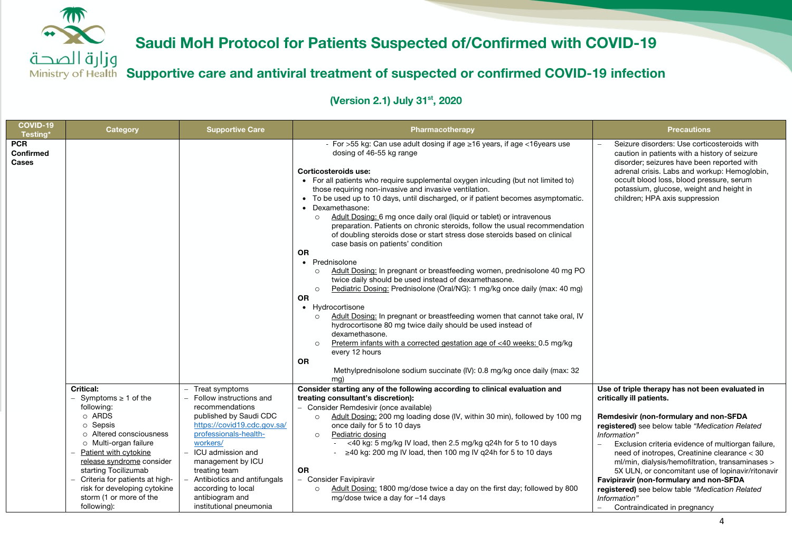

وزارة الصحة **Supportive care and antiviral treatment of suspected or confirmed COVID-19 infection**

| <b>Category</b>                                                                                                                                                                                                                                   | <b>Supportive Care</b>                                                                                                                                                                                                        | Pharmacotherapy                                                                                                                                                                                                                                                                                                                                                                                                                                                                                                                                                                                                                                                                                                                                                                                                                                                                                                                                                                                                                                                                                                                                                                                                                                                                                                                                                       | <b>Precautions</b>                                                                                                                                                                                                                                                                                                                                                                                                                                                     |
|---------------------------------------------------------------------------------------------------------------------------------------------------------------------------------------------------------------------------------------------------|-------------------------------------------------------------------------------------------------------------------------------------------------------------------------------------------------------------------------------|-----------------------------------------------------------------------------------------------------------------------------------------------------------------------------------------------------------------------------------------------------------------------------------------------------------------------------------------------------------------------------------------------------------------------------------------------------------------------------------------------------------------------------------------------------------------------------------------------------------------------------------------------------------------------------------------------------------------------------------------------------------------------------------------------------------------------------------------------------------------------------------------------------------------------------------------------------------------------------------------------------------------------------------------------------------------------------------------------------------------------------------------------------------------------------------------------------------------------------------------------------------------------------------------------------------------------------------------------------------------------|------------------------------------------------------------------------------------------------------------------------------------------------------------------------------------------------------------------------------------------------------------------------------------------------------------------------------------------------------------------------------------------------------------------------------------------------------------------------|
|                                                                                                                                                                                                                                                   |                                                                                                                                                                                                                               | - For >55 kg: Can use adult dosing if age $\geq$ 16 years, if age <16 years use<br>dosing of 46-55 kg range<br>Corticosteroids use:<br>• For all patients who require supplemental oxygen inlcuding (but not limited to)<br>those requiring non-invasive and invasive ventilation.<br>• To be used up to 10 days, until discharged, or if patient becomes asymptomatic.<br>• Dexamethasone:<br>Adult Dosing: 6 mg once daily oral (liquid or tablet) or intravenous<br>$\circ$<br>preparation. Patients on chronic steroids, follow the usual recommendation<br>of doubling steroids dose or start stress dose steroids based on clinical<br>case basis on patients' condition<br><b>OR</b><br>• Prednisolone<br>Adult Dosing: In pregnant or breastfeeding women, prednisolone 40 mg PO<br>$\circ$<br>twice daily should be used instead of dexamethasone.<br>Pediatric Dosing: Prednisolone (Oral/NG): 1 mg/kg once daily (max: 40 mg)<br>$\Omega$<br><b>OR</b><br>• Hydrocortisone<br>Adult Dosing: In pregnant or breastfeeding women that cannot take oral, IV<br>$\circ$<br>hydrocortisone 80 mg twice daily should be used instead of<br>dexamethasone.<br>Preterm infants with a corrected gestation age of <40 weeks: 0.5 mg/kg<br>$\Omega$<br>every 12 hours<br><b>OR</b><br>Methylprednisolone sodium succinate (IV): 0.8 mg/kg once daily (max: 32<br>mg) | Seizure disorders: Use corticosteroids with<br>caution in patients with a history of seizure<br>disorder; seizures have been reported with<br>adrenal crisis. Labs and workup: Hemoglobin,<br>occult blood loss, blood pressure, serum<br>potassium, glucose, weight and height in<br>children; HPA axis suppression                                                                                                                                                   |
| <b>Critical:</b><br>$-$ Symptoms $\geq 1$ of the<br>following:                                                                                                                                                                                    | - Treat symptoms<br>Follow instructions and<br>recommendations                                                                                                                                                                | Consider starting any of the following according to clinical evaluation and<br>treating consultant's discretion):                                                                                                                                                                                                                                                                                                                                                                                                                                                                                                                                                                                                                                                                                                                                                                                                                                                                                                                                                                                                                                                                                                                                                                                                                                                     | Use of triple therapy has not been evaluated in<br>critically ill patients.                                                                                                                                                                                                                                                                                                                                                                                            |
| o ARDS<br>o Sepsis<br>○ Altered consciousness<br>o Multi-organ failure<br>Patient with cytokine<br>release syndrome consider<br>starting Tocilizumab<br>Criteria for patients at high-<br>risk for developing cytokine<br>storm (1 or more of the | published by Saudi CDC<br>https://covid19.cdc.gov.sa/<br>professionals-health-<br>workers/<br>ICU admission and<br>management by ICU<br>treating team<br>Antibiotics and antifungals<br>according to local<br>antibiogram and | Adult Dosing: 200 mg loading dose (IV, within 30 min), followed by 100 mg<br>$\circ$<br>once daily for 5 to 10 days<br>Pediatric dosing<br>$\circ$<br><40 kg: 5 mg/kg IV load, then 2.5 mg/kg q24h for 5 to 10 days<br>$\geq$ 40 kg: 200 mg IV load, then 100 mg IV g24h for 5 to 10 days<br><b>OR</b><br>- Consider Favipiravir<br>Adult Dosing: 1800 mg/dose twice a day on the first day; followed by 800<br>$\circ$<br>mg/dose twice a day for -14 days                                                                                                                                                                                                                                                                                                                                                                                                                                                                                                                                                                                                                                                                                                                                                                                                                                                                                                           | Remdesivir (non-formulary and non-SFDA<br>registered) see below table "Medication Related<br>Information"<br>Exclusion criteria evidence of multiorgan failure,<br>need of inotropes, Creatinine clearance < 30<br>ml/min, dialysis/hemofiltration, transaminases ><br>5X ULN, or concomitant use of lopinavir/ritonavir<br>Favipiravir (non-formulary and non-SFDA<br>registered) see below table "Medication Related<br>Information"<br>Contraindicated in pregnancy |
|                                                                                                                                                                                                                                                   | following):                                                                                                                                                                                                                   | institutional pneumonia                                                                                                                                                                                                                                                                                                                                                                                                                                                                                                                                                                                                                                                                                                                                                                                                                                                                                                                                                                                                                                                                                                                                                                                                                                                                                                                                               | - Consider Remdesivir (once available)                                                                                                                                                                                                                                                                                                                                                                                                                                 |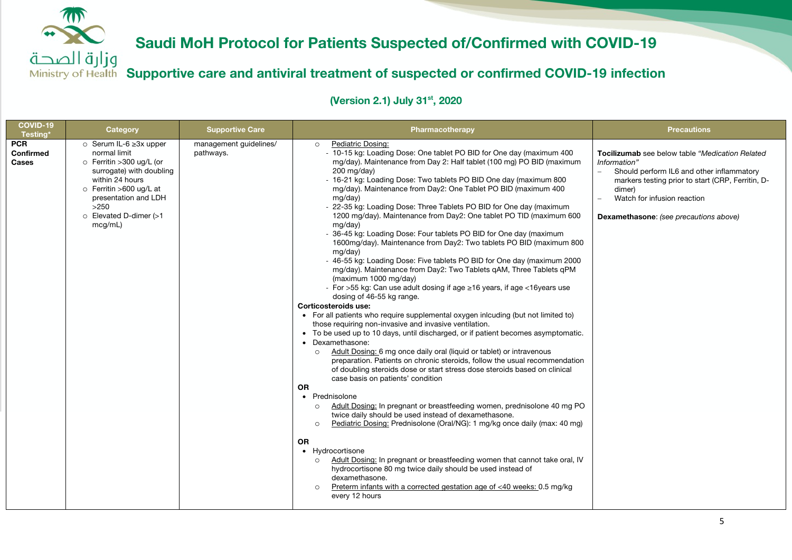وزارة الصحة **Supportive care and antiviral treatment of suspected or confirmed COVID-19 infection**

| COVID-19<br>Testing*                    | Category                                                                                                                                                                                                                       | <b>Supportive Care</b>              | Pharmacotherapy                                                                                                                                                                                                                                                                                                                                                                                                                                                                                                                                                                                                                                                                                                                                                                                                                                                                                                                                                                                                                                                                                                                                                                                                                                                                                                                                                                                                                                                                                                                                                                                                                                                                                                                                                                                                                                                                                                                                                                                                                                                                                                              | <b>Precautions</b>                                                                                                                                                                                                                                   |
|-----------------------------------------|--------------------------------------------------------------------------------------------------------------------------------------------------------------------------------------------------------------------------------|-------------------------------------|------------------------------------------------------------------------------------------------------------------------------------------------------------------------------------------------------------------------------------------------------------------------------------------------------------------------------------------------------------------------------------------------------------------------------------------------------------------------------------------------------------------------------------------------------------------------------------------------------------------------------------------------------------------------------------------------------------------------------------------------------------------------------------------------------------------------------------------------------------------------------------------------------------------------------------------------------------------------------------------------------------------------------------------------------------------------------------------------------------------------------------------------------------------------------------------------------------------------------------------------------------------------------------------------------------------------------------------------------------------------------------------------------------------------------------------------------------------------------------------------------------------------------------------------------------------------------------------------------------------------------------------------------------------------------------------------------------------------------------------------------------------------------------------------------------------------------------------------------------------------------------------------------------------------------------------------------------------------------------------------------------------------------------------------------------------------------------------------------------------------------|------------------------------------------------------------------------------------------------------------------------------------------------------------------------------------------------------------------------------------------------------|
| <b>PCR</b><br>Confirmed<br><b>Cases</b> | $\circ$ Serum IL-6 $\geq$ 3x upper<br>normal limit<br>o Ferritin > 300 ug/L (or<br>surrogate) with doubling<br>within 24 hours<br>o Ferritin >600 ug/L at<br>presentation and LDH<br>>250<br>o Elevated D-dimer (>1<br>mcg/mL) | management guidelines/<br>pathways. | Pediatric Dosing:<br>$\circ$<br>- 10-15 kg: Loading Dose: One tablet PO BID for One day (maximum 400<br>mg/day). Maintenance from Day 2: Half tablet (100 mg) PO BID (maximum<br>$200 \text{ mg/day}$<br>- 16-21 kg: Loading Dose: Two tablets PO BID One day (maximum 800<br>mg/day). Maintenance from Day2: One Tablet PO BID (maximum 400<br>mg/day)<br>- 22-35 kg: Loading Dose: Three Tablets PO BID for One day (maximum<br>1200 mg/day). Maintenance from Day2: One tablet PO TID (maximum 600<br>mg/day)<br>- 36-45 kg: Loading Dose: Four tablets PO BID for One day (maximum<br>1600mg/day). Maintenance from Day2: Two tablets PO BID (maximum 800<br>mg/day)<br>- 46-55 kg: Loading Dose: Five tablets PO BID for One day (maximum 2000<br>mg/day). Maintenance from Day2: Two Tablets gAM, Three Tablets gPM<br>(maximum 1000 mg/day)<br>- For >55 kg: Can use adult dosing if age $\geq$ 16 years, if age <16 years use<br>dosing of 46-55 kg range.<br>Corticosteroids use:<br>• For all patients who require supplemental oxygen inlcuding (but not limited to)<br>those requiring non-invasive and invasive ventilation.<br>• To be used up to 10 days, until discharged, or if patient becomes asymptomatic.<br>• Dexamethasone:<br>Adult Dosing: 6 mg once daily oral (liquid or tablet) or intravenous<br>$\circ$<br>preparation. Patients on chronic steroids, follow the usual recommendation<br>of doubling steroids dose or start stress dose steroids based on clinical<br>case basis on patients' condition<br><b>OR</b><br>• Prednisolone<br>Adult Dosing: In pregnant or breastfeeding women, prednisolone 40 mg PO<br>$\circ$<br>twice daily should be used instead of dexamethasone.<br>Pediatric Dosing: Prednisolone (Oral/NG): 1 mg/kg once daily (max: 40 mg)<br>$\circ$<br><b>OR</b><br>• Hydrocortisone<br>Adult Dosing: In pregnant or breastfeeding women that cannot take oral, IV<br>$\circ$<br>hydrocortisone 80 mg twice daily should be used instead of<br>dexamethasone.<br>Preterm infants with a corrected gestation age of <40 weeks: 0.5 mg/kg<br>$\Omega$<br>every 12 hours | Tocilizumab see below table "Medication Related<br>Information"<br>Should perform IL6 and other inflammatory<br>markers testing prior to start (CRP, Ferritin, D-<br>dimer)<br>Watch for infusion reaction<br>Dexamethasone: (see precautions above) |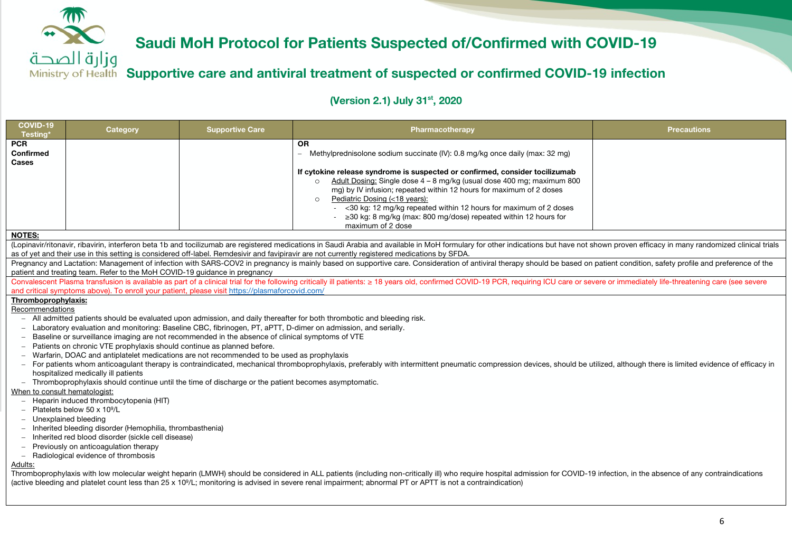

### **Supportive care and antiviral treatment of suspected or confirmed COVID-19 infection**

| (Lopinavir/ritonavir, ribavirin, interferon beta 1b and tocilizumab are registered medications in Saudi Arabia and available in MoH formulary for other indications but have not shown proven efficacy in many randomized clin |  |  |  |  |  |  |  |
|--------------------------------------------------------------------------------------------------------------------------------------------------------------------------------------------------------------------------------|--|--|--|--|--|--|--|
| Pregnancy and Lactation: Management of infection with SARS-COV2 in pregnancy is mainly based on supportive care. Consideration of antiviral therapy should be based on patient condition, safety profile and preference of the |  |  |  |  |  |  |  |
|                                                                                                                                                                                                                                |  |  |  |  |  |  |  |
| Convalescent Plasma transfusion is available as part of a clinical trial for the following critically ill patients: ≥ 18 years old, confirmed COVID-19 PCR, requiring ICU care or severe or immediately life-threatening care  |  |  |  |  |  |  |  |
|                                                                                                                                                                                                                                |  |  |  |  |  |  |  |
|                                                                                                                                                                                                                                |  |  |  |  |  |  |  |
|                                                                                                                                                                                                                                |  |  |  |  |  |  |  |
|                                                                                                                                                                                                                                |  |  |  |  |  |  |  |
|                                                                                                                                                                                                                                |  |  |  |  |  |  |  |
|                                                                                                                                                                                                                                |  |  |  |  |  |  |  |
|                                                                                                                                                                                                                                |  |  |  |  |  |  |  |
|                                                                                                                                                                                                                                |  |  |  |  |  |  |  |
| - For patients whom anticoagulant therapy is contraindicated, mechanical thromboprophylaxis, preferably with intermittent pneumatic compression devices, should be utilized, although there is limited evidence of efficacy in |  |  |  |  |  |  |  |
|                                                                                                                                                                                                                                |  |  |  |  |  |  |  |
|                                                                                                                                                                                                                                |  |  |  |  |  |  |  |
|                                                                                                                                                                                                                                |  |  |  |  |  |  |  |
|                                                                                                                                                                                                                                |  |  |  |  |  |  |  |
|                                                                                                                                                                                                                                |  |  |  |  |  |  |  |
|                                                                                                                                                                                                                                |  |  |  |  |  |  |  |
|                                                                                                                                                                                                                                |  |  |  |  |  |  |  |
| - Inherited red blood disorder (sickle cell disease)<br>Previously on anticoagulation therapy                                                                                                                                  |  |  |  |  |  |  |  |
|                                                                                                                                                                                                                                |  |  |  |  |  |  |  |
|                                                                                                                                                                                                                                |  |  |  |  |  |  |  |
|                                                                                                                                                                                                                                |  |  |  |  |  |  |  |
| Thromboprophylaxis with low molecular weight heparin (LMWH) should be considered in ALL patients (including non-critically ill) who require hospital admission for COVID-19 infection, in the absence of any contraindications |  |  |  |  |  |  |  |
|                                                                                                                                                                                                                                |  |  |  |  |  |  |  |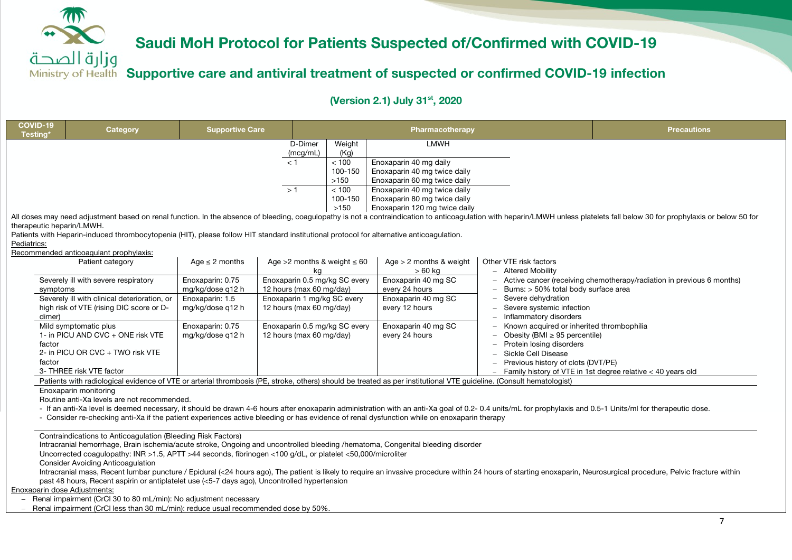**Supportive care and antiviral treatment of suspected or confirmed COVID-19 infection**

**(Version 2.1) July 31st, 2020**

| COVID-19<br>Testing'                     | <b>Category</b>                                                                                                                                                                                                                                                                                   | <b>Supportive Care</b>                                                      |                                                      | <b>Pharmacotherapy</b>                                       |                                                                                                                                                                                         |                                                                                                                                                                                                    | <b>Precautions</b>                                                                                                                                                                                                            |
|------------------------------------------|---------------------------------------------------------------------------------------------------------------------------------------------------------------------------------------------------------------------------------------------------------------------------------------------------|-----------------------------------------------------------------------------|------------------------------------------------------|--------------------------------------------------------------|-----------------------------------------------------------------------------------------------------------------------------------------------------------------------------------------|----------------------------------------------------------------------------------------------------------------------------------------------------------------------------------------------------|-------------------------------------------------------------------------------------------------------------------------------------------------------------------------------------------------------------------------------|
|                                          |                                                                                                                                                                                                                                                                                                   |                                                                             | D-Dimer<br>(mcg/mL)                                  | Weight<br>(Kg)                                               | LMWH                                                                                                                                                                                    |                                                                                                                                                                                                    |                                                                                                                                                                                                                               |
| therapeutic heparin/LMWH.<br>Pediatrics: | Patients with Heparin-induced thrombocytopenia (HIT), please follow HIT standard institutional protocol for alternative anticoagulation.                                                                                                                                                          |                                                                             | < 1<br>>1                                            | < 100<br>100-150<br>>150<br>< 100<br>100-150<br>>150         | Enoxaparin 40 mg daily<br>Enoxaparin 40 mg twice daily<br>Enoxaparin 60 mg twice daily<br>Enoxaparin 40 mg twice daily<br>Enoxaparin 80 mg twice daily<br>Enoxaparin 120 mg twice daily |                                                                                                                                                                                                    | All doses may need adjustment based on renal function. In the absence of bleeding, coagulopathy is not a contraindication to anticoagulation with heparin/LMWH unless platelets fall below 30 for prophylaxis or below 50 for |
|                                          | Recommended anticoagulant prophylaxis:                                                                                                                                                                                                                                                            |                                                                             |                                                      |                                                              |                                                                                                                                                                                         |                                                                                                                                                                                                    |                                                                                                                                                                                                                               |
|                                          | Patient category                                                                                                                                                                                                                                                                                  | Age $\leq$ 2 months                                                         |                                                      | Age $>2$ months & weight $\leq 60$                           | Age $> 2$ months & weight<br>$>60$ kg                                                                                                                                                   | Other VTE risk factors<br><b>Altered Mobility</b>                                                                                                                                                  |                                                                                                                                                                                                                               |
| symptoms                                 | Severely ill with severe respiratory<br>Severely ill with clinical deterioration, or<br>high risk of VTE (rising DIC score or D-                                                                                                                                                                  | Enoxaparin: 0.75<br>mg/kg/dose q12 h<br>Enoxaparin: 1.5<br>mg/kg/dose q12 h | 12 hours (max 60 mg/day)<br>12 hours (max 60 mg/day) | Enoxaparin 0.5 mg/kg SC every<br>Enoxaparin 1 mg/kg SC every | Enoxaparin 40 mg SC<br>every 24 hours<br>Enoxaparin 40 mg SC<br>every 12 hours                                                                                                          | Burns: > 50% total body surface area<br>Severe dehydration<br>Severe systemic infection                                                                                                            | Active cancer (receiving chemotherapy/radiation in previous 6 months)                                                                                                                                                         |
| dimer)<br>factor<br>factor               | Mild symptomatic plus<br>1- in PICU AND CVC + ONE risk VTE<br>2- in PICU OR CVC + TWO risk VTE<br>3- THREE risk VTE factor<br>Patients with radiological evidence of VTE or arterial thrombosis (PE, stroke, others) should be treated as per institutional VTE guideline. (Consult hematologist) | Enoxaparin: 0.75<br>mg/kg/dose q12 h                                        | 12 hours (max 60 mg/day)                             | Enoxaparin 0.5 mg/kg SC every                                | Enoxaparin 40 mg SC<br>every 24 hours                                                                                                                                                   | Inflammatory disorders<br>Known acquired or inherited thrombophilia<br>Obesity (BMI $\geq$ 95 percentile)<br>Protein losing disorders<br>Sickle Cell Disease<br>Previous history of clots (DVT/PE) | Family history of VTE in 1st degree relative < 40 years old                                                                                                                                                                   |

#### Enoxaparin monitoring

Routine anti-Xa levels are not recommended.

- If an anti-Xa level is deemed necessary, it should be drawn 4-6 hours after enoxaparin administration with an anti-Xa goal of 0.2-0.4 units/mL for prophylaxis and 0.5-1 Units/ml for therapeutic dose.

- Consider re-checking anti-Xa if the patient experiences active bleeding or has evidence of renal dysfunction while on enoxaparin therapy

Contraindications to Anticoagulation (Bleeding Risk Factors)

Intracranial hemorrhage, Brain ischemia/acute stroke, Ongoing and uncontrolled bleeding /hematoma, Congenital bleeding disorder

Uncorrected coagulopathy: INR >1.5, APTT >44 seconds, fibrinogen <100 g/dL, or platelet <50,000/microliter

Consider Avoiding Anticoagulation

Intracranial mass, Recent lumbar puncture / Epidural (<24 hours ago), The patient is likely to require an invasive procedure within 24 hours of starting enoxaparin, Neurosurgical procedure, Pelvic fracture within past 48 hours, Recent aspirin or antiplatelet use (<5-7 days ago), Uncontrolled hypertension

Enoxaparin dose Adjustments:

- Renal impairment (CrCl 30 to 80 mL/min): No adjustment necessary

Renal impairment (CrCl less than 30 mL/min): reduce usual recommended dose by 50%.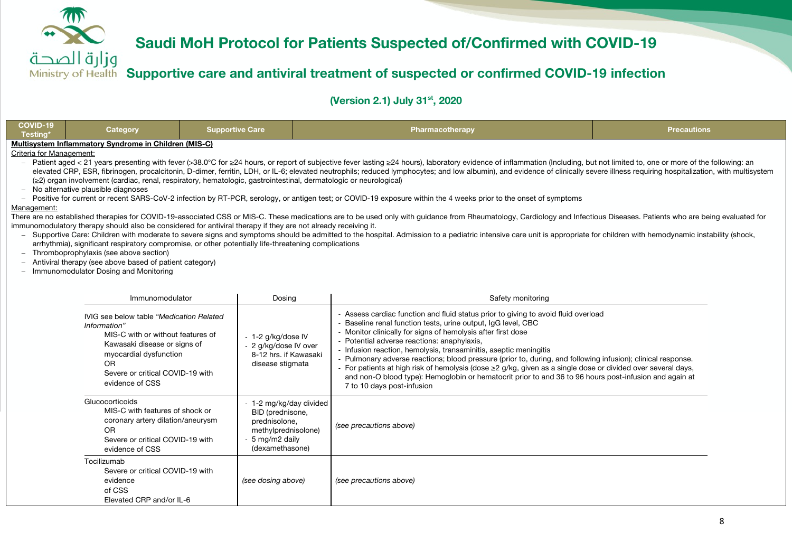

### وزارة الصحة **Supportive care and antiviral treatment of suspected or confirmed COVID-19 infection**

| COVID-19<br>Testing'     | <b>Category</b>                                                                                                                                                                                                              | <b>Supportive Care</b>                                                                                                                                                                                                                                                                                                                      |                                                | Pharmacotherapy                                                                                                                                                                                                                                                                                                                                                                                                                                                                                                                                                                                                                                                                                                                                                                                                                                                                                                                                                                                                                                                                              | <b>Precautions</b> |  |
|--------------------------|------------------------------------------------------------------------------------------------------------------------------------------------------------------------------------------------------------------------------|---------------------------------------------------------------------------------------------------------------------------------------------------------------------------------------------------------------------------------------------------------------------------------------------------------------------------------------------|------------------------------------------------|----------------------------------------------------------------------------------------------------------------------------------------------------------------------------------------------------------------------------------------------------------------------------------------------------------------------------------------------------------------------------------------------------------------------------------------------------------------------------------------------------------------------------------------------------------------------------------------------------------------------------------------------------------------------------------------------------------------------------------------------------------------------------------------------------------------------------------------------------------------------------------------------------------------------------------------------------------------------------------------------------------------------------------------------------------------------------------------------|--------------------|--|
| Criteria for Management: | Multisystem Inflammatory Syndrome in Children (MIS-C)                                                                                                                                                                        |                                                                                                                                                                                                                                                                                                                                             |                                                |                                                                                                                                                                                                                                                                                                                                                                                                                                                                                                                                                                                                                                                                                                                                                                                                                                                                                                                                                                                                                                                                                              |                    |  |
| Management:              | - No alternative plausible diagnoses<br>- Thromboprophylaxis (see above section)<br>Antiviral therapy (see above based of patient category)<br>- Immunomodulator Dosing and Monitoring                                       | (≥2) organ involvement (cardiac, renal, respiratory, hematologic, gastrointestinal, dermatologic or neurological)<br>immunomodulatory therapy should also be considered for antiviral therapy if they are not already receiving it.<br>arrhythmia), significant respiratory compromise, or other potentially life-threatening complications |                                                | Patient aged < 21 years presenting with fever (>38.0°C for ≥24 hours, or report of subjective fever lasting ≥24 hours), laboratory evidence of inflammation (Including, but not limited to, one or more of the following: an<br>elevated CRP, ESR, fibrinogen, procalcitonin, D-dimer, ferritin, LDH, or IL-6; elevated neutrophils; reduced lymphocytes; and low albumin), and evidence of clinically severe illness requiring hospitalization, with multisys<br>- Positive for current or recent SARS-CoV-2 infection by RT-PCR, serology, or antigen test; or COVID-19 exposure within the 4 weeks prior to the onset of symptoms<br>There are no established therapies for COVID-19-associated CSS or MIS-C. These medications are to be used only with guidance from Rheumatology, Cardiology and Infectious Diseases. Patients who are being evaluated for<br>- Supportive Care: Children with moderate to severe signs and symptoms should be admitted to the hospital. Admission to a pediatric intensive care unit is appropriate for children with hemodynamic instability (shock, |                    |  |
|                          | Immunomodulator<br>Dosing                                                                                                                                                                                                    |                                                                                                                                                                                                                                                                                                                                             |                                                | Safety monitoring                                                                                                                                                                                                                                                                                                                                                                                                                                                                                                                                                                                                                                                                                                                                                                                                                                                                                                                                                                                                                                                                            |                    |  |
|                          | IVIG see below table "Medication Related"<br>Information"<br>MIS-C with or without features of<br>Kawasaki disease or signs of<br>myocardial dysfunction<br><b>OR</b><br>Severe or critical COVID-19 with<br>evidence of CSS | - 1-2 g/kg/dose IV<br>- 2 g/kg/dose IV over<br>disease stigmata                                                                                                                                                                                                                                                                             | 8-12 hrs. if Kawasaki                          | - Assess cardiac function and fluid status prior to giving to avoid fluid overload<br>- Baseline renal function tests, urine output, IqG level, CBC<br>- Monitor clinically for signs of hemolysis after first dose<br>- Potential adverse reactions: anaphylaxis,<br>- Infusion reaction, hemolysis, transaminitis, aseptic meningitis<br>- Pulmonary adverse reactions; blood pressure (prior to, during, and following infusion); clinical response.<br>- For patients at high risk of hemolysis (dose $\geq$ g/kg, given as a single dose or divided over several days,<br>and non-O blood type): Hemoglobin or hematocrit prior to and 36 to 96 hours post-infusion and again at<br>7 to 10 days post-infusion                                                                                                                                                                                                                                                                                                                                                                          |                    |  |
|                          | Glucocorticoids<br>MIS-C with features of shock or<br>coronary artery dilation/aneurysm<br><b>OR</b><br>Severe or critical COVID-19 with<br>evidence of CSS                                                                  | BID (prednisone,<br>prednisolone,<br>- 5 mg/m2 daily<br>(dexamethasone)                                                                                                                                                                                                                                                                     | - 1-2 mg/kg/day divided<br>methylprednisolone) | (see precautions above)                                                                                                                                                                                                                                                                                                                                                                                                                                                                                                                                                                                                                                                                                                                                                                                                                                                                                                                                                                                                                                                                      |                    |  |
|                          | Tocilizumab<br>Severe or critical COVID-19 with<br>evidence<br>of CSS<br>Elevated CRP and/or IL-6                                                                                                                            | (see dosing above)                                                                                                                                                                                                                                                                                                                          |                                                | (see precautions above)                                                                                                                                                                                                                                                                                                                                                                                                                                                                                                                                                                                                                                                                                                                                                                                                                                                                                                                                                                                                                                                                      |                    |  |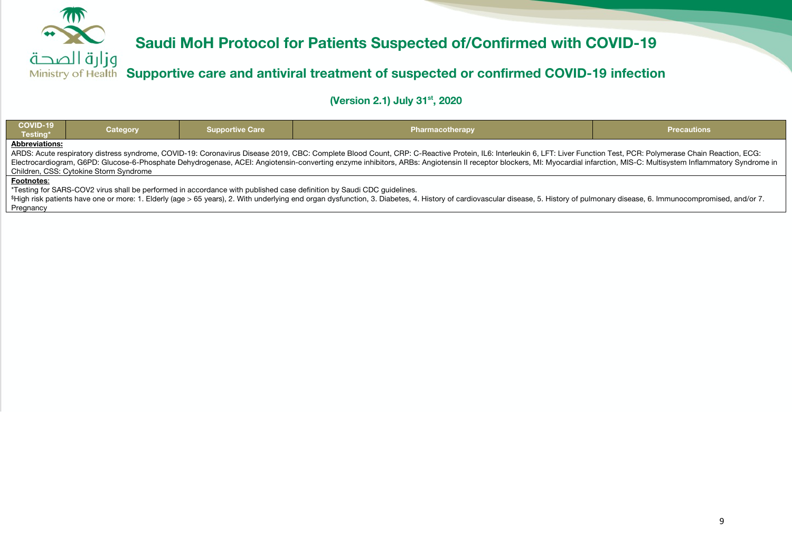

**Supportive care and antiviral treatment of suspected or confirmed COVID-19 infection**

**(Version 2.1) July 31st, 2020**

| COVID-19<br>Testing*                                                                                                                                                                                                                                    | <b>Supportive Care</b><br>Category                                                                                                                                                                                                                                   |  | Pharmacotherapy                                                                                                       | <b>Precautions</b> |  |  |  |
|---------------------------------------------------------------------------------------------------------------------------------------------------------------------------------------------------------------------------------------------------------|----------------------------------------------------------------------------------------------------------------------------------------------------------------------------------------------------------------------------------------------------------------------|--|-----------------------------------------------------------------------------------------------------------------------|--------------------|--|--|--|
| <b>Abbreviations:</b><br>ARDS: Acute respiratory distress syndrome, COVID-19: Coronavirus Disease 2019, CBC: Complete Blood Count, CRP: C-Reactive Protein, IL6: Interleukin 6, LFT: Liver Function Test, PCR: Polymerase Chain Reaction, ECG: Complete |                                                                                                                                                                                                                                                                      |  |                                                                                                                       |                    |  |  |  |
|                                                                                                                                                                                                                                                         | Electrocardiogram, G6PD: Glucose-6-Phosphate Dehydrogenase, ACEI: Angiotensin-converting enzyme inhibitors, ARBs: Angiotensin II receptor blockers, MI: Myocardial infarction, MIS-C: Multisystem Inflammatory Syndrome in<br>Children, CSS: Cytokine Storm Syndrome |  |                                                                                                                       |                    |  |  |  |
| Footnotes:                                                                                                                                                                                                                                              |                                                                                                                                                                                                                                                                      |  |                                                                                                                       |                    |  |  |  |
|                                                                                                                                                                                                                                                         |                                                                                                                                                                                                                                                                      |  | *Testing for SARS-COV2 virus shall be performed in accordance with published case definition by Saudi CDC quidelines. |                    |  |  |  |

\$High risk patients have one or more: 1. Elderly (age > 65 years), 2. With underlying end organ dysfunction, 3. Diabetes, 4. History of cardiovascular disease, 5. History of pulmonary disease, 6. Immunocompromised, and/or 7. Pregnancy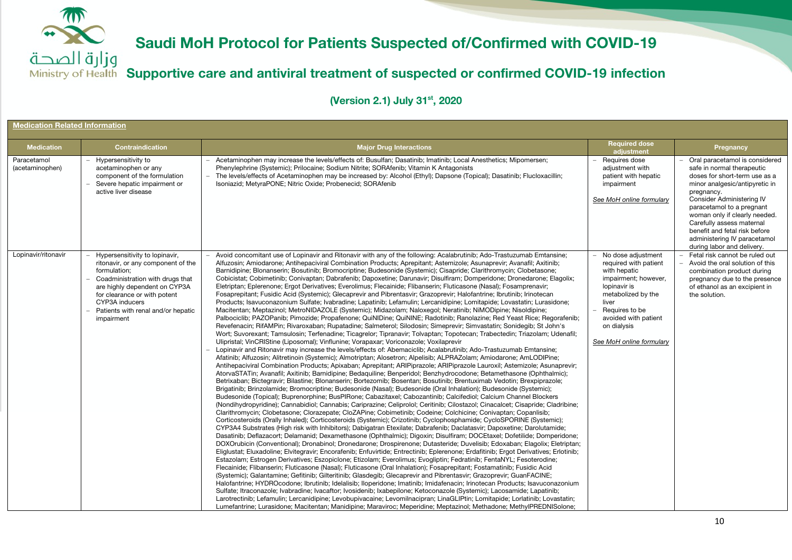**Supportive care and antiviral treatment of suspected or confirmed COVID-19 infection**

| <b>Medication Related Information</b> |                                                                                                                                                                                                                                                                 |                                                                                                                                                                                                                                                                                                                                                                                                                                                                                                                                                                                                                                                                                                                                                                                                                                                                                                                                                                                                                                                                                                                                                                                                                                                                                                                                                                                                                                                                                                                                                                                                                                                                                                                                                                                                                                                                                                                                                                                                                                                                                                                                                                                                                                                                                                                                                                                                                                                                                                                                                                                                                                                                                                                                                                                                                                                                                                                                                                                                                                                                                                                                                                                                                                                                                                                                                                                                                                                                                                                                                                                                                                                                                                                                                                                                                                                                                                                                                                                                                                                                                                                                           |                                                                                                                                                                                                                         |                                                                                                                                                                                                                                                                                                                                                                      |  |  |  |  |
|---------------------------------------|-----------------------------------------------------------------------------------------------------------------------------------------------------------------------------------------------------------------------------------------------------------------|-------------------------------------------------------------------------------------------------------------------------------------------------------------------------------------------------------------------------------------------------------------------------------------------------------------------------------------------------------------------------------------------------------------------------------------------------------------------------------------------------------------------------------------------------------------------------------------------------------------------------------------------------------------------------------------------------------------------------------------------------------------------------------------------------------------------------------------------------------------------------------------------------------------------------------------------------------------------------------------------------------------------------------------------------------------------------------------------------------------------------------------------------------------------------------------------------------------------------------------------------------------------------------------------------------------------------------------------------------------------------------------------------------------------------------------------------------------------------------------------------------------------------------------------------------------------------------------------------------------------------------------------------------------------------------------------------------------------------------------------------------------------------------------------------------------------------------------------------------------------------------------------------------------------------------------------------------------------------------------------------------------------------------------------------------------------------------------------------------------------------------------------------------------------------------------------------------------------------------------------------------------------------------------------------------------------------------------------------------------------------------------------------------------------------------------------------------------------------------------------------------------------------------------------------------------------------------------------------------------------------------------------------------------------------------------------------------------------------------------------------------------------------------------------------------------------------------------------------------------------------------------------------------------------------------------------------------------------------------------------------------------------------------------------------------------------------------------------------------------------------------------------------------------------------------------------------------------------------------------------------------------------------------------------------------------------------------------------------------------------------------------------------------------------------------------------------------------------------------------------------------------------------------------------------------------------------------------------------------------------------------------------------------------------------------------------------------------------------------------------------------------------------------------------------------------------------------------------------------------------------------------------------------------------------------------------------------------------------------------------------------------------------------------------------------------------------------------------------------------------------------------------|-------------------------------------------------------------------------------------------------------------------------------------------------------------------------------------------------------------------------|----------------------------------------------------------------------------------------------------------------------------------------------------------------------------------------------------------------------------------------------------------------------------------------------------------------------------------------------------------------------|--|--|--|--|
| <b>Medication</b>                     | <b>Contraindication</b>                                                                                                                                                                                                                                         | <b>Major Drug Interactions</b>                                                                                                                                                                                                                                                                                                                                                                                                                                                                                                                                                                                                                                                                                                                                                                                                                                                                                                                                                                                                                                                                                                                                                                                                                                                                                                                                                                                                                                                                                                                                                                                                                                                                                                                                                                                                                                                                                                                                                                                                                                                                                                                                                                                                                                                                                                                                                                                                                                                                                                                                                                                                                                                                                                                                                                                                                                                                                                                                                                                                                                                                                                                                                                                                                                                                                                                                                                                                                                                                                                                                                                                                                                                                                                                                                                                                                                                                                                                                                                                                                                                                                                            | <b>Required dose</b><br>adjustment                                                                                                                                                                                      | <b>Pregnancy</b>                                                                                                                                                                                                                                                                                                                                                     |  |  |  |  |
| Paracetamol<br>(acetaminophen)        | Hypersensitivity to<br>acetaminophen or any<br>component of the formulation<br>Severe hepatic impairment or<br>active liver disease                                                                                                                             | Acetaminophen may increase the levels/effects of: Busulfan; Dasatinib; Imatinib; Local Anesthetics; Mipomersen;<br>Phenylephrine (Systemic); Prilocaine; Sodium Nitrite; SORAfenib; Vitamin K Antagonists<br>The levels/effects of Acetaminophen may be increased by: Alcohol (Ethyl); Dapsone (Topical); Dasatinib; Flucloxacillin;<br>Isoniazid; MetyraPONE; Nitric Oxide; Probenecid; SORAfenib                                                                                                                                                                                                                                                                                                                                                                                                                                                                                                                                                                                                                                                                                                                                                                                                                                                                                                                                                                                                                                                                                                                                                                                                                                                                                                                                                                                                                                                                                                                                                                                                                                                                                                                                                                                                                                                                                                                                                                                                                                                                                                                                                                                                                                                                                                                                                                                                                                                                                                                                                                                                                                                                                                                                                                                                                                                                                                                                                                                                                                                                                                                                                                                                                                                                                                                                                                                                                                                                                                                                                                                                                                                                                                                                        | Requires dose<br>adjustment with<br>patient with hepatic<br>impairment<br>See MoH online formulary                                                                                                                      | Oral paracetamol is considered<br>safe in normal therapeutic<br>doses for short-term use as a<br>minor analgesic/antipyretic in<br>pregnancy.<br>Consider Administering IV<br>paracetamol to a pregnant<br>woman only if clearly needed.<br>Carefully assess maternal<br>benefit and fetal risk before<br>administering IV paracetamol<br>during labor and delivery. |  |  |  |  |
| Lopinavir/ritonavir                   | Hypersensitivity to lopinavir,<br>ritonavir, or any component of the<br>formulation:<br>Coadministration with drugs that<br>are highly dependent on CYP3A<br>for clearance or with potent<br>CYP3A inducers<br>Patients with renal and/or hepatic<br>impairment | Avoid concomitant use of Lopinavir and Ritonavir with any of the following: Acalabrutinib; Ado-Trastuzumab Emtansine;<br>Alfuzosin; Amiodarone; Antihepaciviral Combination Products; Aprepitant; Astemizole; Asunaprevir; Avanafil; Axitinib;<br>Barnidipine; Blonanserin; Bosutinib; Bromocriptine; Budesonide (Systemic); Cisapride; Clarithromycin; Clobetasone;<br>Cobicistat; Cobimetinib; Conivaptan; Dabrafenib; Dapoxetine; Darunavir; Disulfiram; Domperidone; Dronedarone; Elagolix;<br>Eletriptan; Eplerenone; Ergot Derivatives; Everolimus; Flecainide; Flibanserin; Fluticasone (Nasal); Fosamprenavir;<br>Fosaprepitant; Fusidic Acid (Systemic); Glecaprevir and Pibrentasvir; Grazoprevir; Halofantrine; Ibrutinib; Irinotecan<br>Products; Isavuconazonium Sulfate; Ivabradine; Lapatinib; Lefamulin; Lercanidipine; Lomitapide; Lovastatin; Lurasidone;<br>Macitentan; Meptazinol; MetroNIDAZOLE (Systemic); Midazolam; Naloxegol; Neratinib; NiMODipine; Nisoldipine;<br>Palbociclib; PAZOPanib; Pimozide; Propafenone; QuiNIDine; QuiNINE; Radotinib; Ranolazine; Red Yeast Rice; Regorafenib;<br>Revefenacin; RifAMPin; Rivaroxaban; Rupatadine; Salmeterol; Silodosin; Simeprevir; Simvastatin; Sonidegib; St John's<br>Wort; Suvorexant; Tamsulosin; Terfenadine; Ticagrelor; Tipranavir; Tolvaptan; Topotecan; Trabectedin; Triazolam; Udenafil;<br>Ulipristal; VinCRIStine (Liposomal); Vinflunine; Vorapaxar; Voriconazole; Voxilaprevir<br>Lopinavir and Ritonavir may increase the levels/effects of: Abemaciclib; Acalabrutinib; Ado-Trastuzumab Emtansine;<br>Afatinib; Alfuzosin; Alitretinoin (Systemic); Almotriptan; Alosetron; Alpelisib; ALPRAZolam; Amiodarone; AmLODIPine;<br>Antihepaciviral Combination Products; Apixaban; Aprepitant; ARIPiprazole; ARIPiprazole Lauroxil; Astemizole; Asunaprevir;<br>AtorvaSTATin; Avanafil; Axitinib; Barnidipine; Bedaquiline; Benperidol; Benzhydrocodone; Betamethasone (Ophthalmic);<br>Betrixaban; Bictegravir; Bilastine; Blonanserin; Bortezomib; Bosentan; Bosutinib; Brentuximab Vedotin; Brexpiprazole;<br>Brigatinib; Brinzolamide; Bromocriptine; Budesonide (Nasal); Budesonide (Oral Inhalation); Budesonide (Systemic);<br>Budesonide (Topical); Buprenorphine; BusPIRone; Cabazitaxel; Cabozantinib; Calcifediol; Calcium Channel Blockers<br>(Nondihydropyridine); Cannabidiol; Cannabis; Cariprazine; Celiprolol; Ceritinib; Cilostazol; Cinacalcet; Cisapride; Cladribine;<br>Clarithromycin; Clobetasone; Clorazepate; CloZAPine; Cobimetinib; Codeine; Colchicine; Conivaptan; Copanlisib;<br>Corticosteroids (Orally Inhaled); Corticosteroids (Systemic); Crizotinib; Cyclophosphamide; CycloSPORINE (Systemic);<br>CYP3A4 Substrates (High risk with Inhibitors); Dabigatran Etexilate; Dabrafenib; Daclatasvir; Dapoxetine; Darolutamide;<br>Dasatinib; Deflazacort; Delamanid; Dexamethasone (Ophthalmic); Digoxin; Disulfiram; DOCEtaxel; Dofetilide; Domperidone;<br>DOXOrubicin (Conventional); Dronabinol; Dronedarone; Drospirenone; Dutasteride; Duvelisib; Edoxaban; Elaqolix; Eletriptan;<br>Eliglustat; Eluxadoline; Elvitegravir; Encorafenib; Enfuvirtide; Entrectinib; Eplerenone; Erdafitinib; Ergot Derivatives; Erlotinib;<br>Estazolam; Estrogen Derivatives; Eszopiclone; Etizolam; Everolimus; Evogliptin; Fedratinib; FentaNYL; Fesoterodine;<br>Flecainide; Flibanserin; Fluticasone (Nasal); Fluticasone (Oral Inhalation); Fosaprepitant; Fostamatinib; Fusidic Acid<br>(Systemic); Galantamine; Gefitinib; Gilteritinib; Glasdegib; Glecaprevir and Pibrentasvir; Grazoprevir; GuanFACINE;<br>Halofantrine; HYDROcodone; Ibrutinib; Idelalisib; Iloperidone; Imatinib; Imidafenacin; Irinotecan Products; Isavuconazonium<br>Sulfate; Itraconazole; Ivabradine; Ivacaftor; Ivosidenib; Ixabepilone; Ketoconazole (Systemic); Lacosamide; Lapatinib;<br>Larotrectinib; Lefamulin; Lercanidipine; Levobupivacaine; Levomilnacipran; LinaGLIPtin; Lomitapide; Lorlatinib; Lovastatin;<br>Lumefantrine; Lurasidone; Macitentan; Manidipine; Maraviroc; Meperidine; Meptazinol; Methadone; MethylPREDNISolone; | No dose adjustment<br>required with patient<br>with hepatic<br>impairment; however,<br>lopinavir is<br>metabolized by the<br>liver<br>Requires to be<br>avoided with patient<br>on dialysis<br>See MoH online formulary | Fetal risk cannot be ruled out<br>Avoid the oral solution of this<br>combination product during<br>pregnancy due to the presence<br>of ethanol as an excipient in<br>the solution.                                                                                                                                                                                   |  |  |  |  |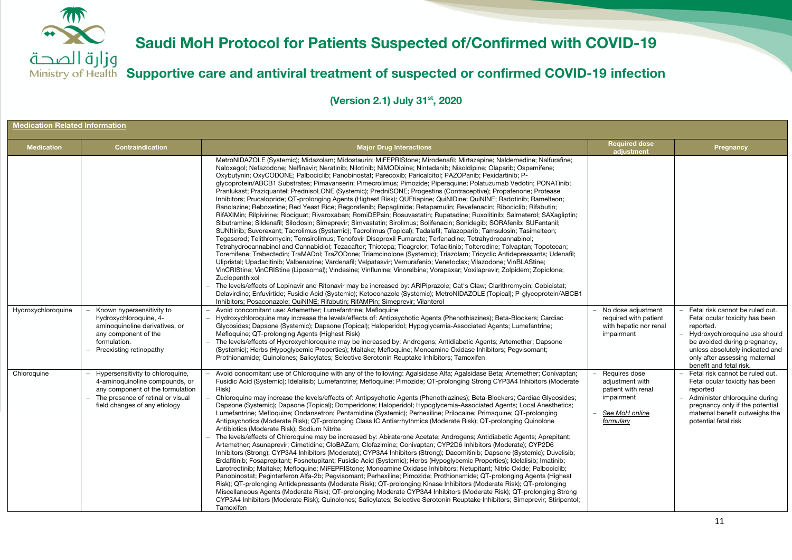

**Supportive care and antiviral treatment of suspected or confirmed COVID-19 infection**

| <b>Medication Related Information</b> |                                                                                                                                                                              |                                                                                                                                                                                                                                                                                                                                                                                                                                                                                                                                                                                                                                                                                                                                                                                                                                                                                                                                                                                                                                                                                                                                                                                                                                                                                                                                                                                                                                                                                                                                                                                                                                                                                                                                                                                                                                                                                                                                                                                                                                                                                                                                                                                                                                                                                                                                                                                                                                                                                                                                                                                                                                                                                                                                                                                                                                                                                                            |                                                                                                     |                                                                                                                                                                                                                                        |  |  |
|---------------------------------------|------------------------------------------------------------------------------------------------------------------------------------------------------------------------------|------------------------------------------------------------------------------------------------------------------------------------------------------------------------------------------------------------------------------------------------------------------------------------------------------------------------------------------------------------------------------------------------------------------------------------------------------------------------------------------------------------------------------------------------------------------------------------------------------------------------------------------------------------------------------------------------------------------------------------------------------------------------------------------------------------------------------------------------------------------------------------------------------------------------------------------------------------------------------------------------------------------------------------------------------------------------------------------------------------------------------------------------------------------------------------------------------------------------------------------------------------------------------------------------------------------------------------------------------------------------------------------------------------------------------------------------------------------------------------------------------------------------------------------------------------------------------------------------------------------------------------------------------------------------------------------------------------------------------------------------------------------------------------------------------------------------------------------------------------------------------------------------------------------------------------------------------------------------------------------------------------------------------------------------------------------------------------------------------------------------------------------------------------------------------------------------------------------------------------------------------------------------------------------------------------------------------------------------------------------------------------------------------------------------------------------------------------------------------------------------------------------------------------------------------------------------------------------------------------------------------------------------------------------------------------------------------------------------------------------------------------------------------------------------------------------------------------------------------------------------------------------------------------|-----------------------------------------------------------------------------------------------------|----------------------------------------------------------------------------------------------------------------------------------------------------------------------------------------------------------------------------------------|--|--|
| <b>Medication</b>                     | <b>Contraindication</b>                                                                                                                                                      | <b>Major Drug Interactions</b>                                                                                                                                                                                                                                                                                                                                                                                                                                                                                                                                                                                                                                                                                                                                                                                                                                                                                                                                                                                                                                                                                                                                                                                                                                                                                                                                                                                                                                                                                                                                                                                                                                                                                                                                                                                                                                                                                                                                                                                                                                                                                                                                                                                                                                                                                                                                                                                                                                                                                                                                                                                                                                                                                                                                                                                                                                                                             | <b>Required dose</b><br>adjustment                                                                  | Pregnancy                                                                                                                                                                                                                              |  |  |
| Hydroxychloroquine                    | Known hypersensitivity to<br>hydroxychloroquine, 4-<br>aminoquinoline derivatives, or<br>any component of the<br>formulation.<br>Preexisting retinopathy                     | MetroNIDAZOLE (Systemic); Midazolam; Midostaurin; MiFEPRIStone; Mirodenafil; Mirtazapine; Naldemedine; Nalfurafine;<br>Naloxegol; Nefazodone; Nelfinavir; Neratinib; Nilotinib; NiMODipine; Nintedanib; Nisoldipine; Olaparib; Ospemifene;<br>Oxybutynin; OxyCODONE; Palbociclib; Panobinostat; Parecoxib; Paricalcitol; PAZOPanib; Pexidartinib; P-<br>glycoprotein/ABCB1 Substrates; Pimavanserin; Pimecrolimus; Pimozide; Piperaquine; Polatuzumab Vedotin; PONATinib;<br>Pranlukast; Praziquantel; PrednisoLONE (Systemic); PredniSONE; Progestins (Contraceptive); Propafenone; Protease<br>Inhibitors; Prucalopride; QT-prolonging Agents (Highest Risk); QUEtiapine; QuiNIDine; QuiNINE; Radotinib; Ramelteon;<br>Ranolazine; Reboxetine; Red Yeast Rice; Regorafenib; Repaglinide; Retapamulin; Revefenacin; Ribociclib; Rifabutin;<br>RifAXIMin; Rilpivirine; Riociquat; Rivaroxaban; RomiDEPsin; Rosuvastatin; Rupatadine; Ruxolitinib; Salmeterol; SAXaqliptin;<br>Sibutramine; Sildenafil; Silodosin; Simeprevir; Simvastatin; Sirolimus; Solifenacin; Sonidegib; SORAfenib; SUFentanil;<br>SUNItinib; Suvorexant; Tacrolimus (Systemic); Tacrolimus (Topical); Tadalafil; Talazoparib; Tamsulosin; Tasimelteon;<br>Tegaserod; Telithromycin; Temsirolimus; Tenofovir Disoproxil Fumarate; Terfenadine; Tetrahydrocannabinol;<br>Tetrahydrocannabinol and Cannabidiol; Tezacaftor; Thiotepa; Ticagrelor; Tofacitinib; Tolterodine; Tolvaptan; Topotecan;<br>Toremifene; Trabectedin; TraMADol; TraZODone; Triamcinolone (Systemic); Triazolam; Tricyclic Antidepressants; Udenafil;<br>Ulipristal; Upadacitinib; Valbenazine; Vardenafil; Velpatasvir; Vemurafenib; Venetoclax; Vilazodone; VinBLAStine;<br>VinCRIStine; VinCRIStine (Liposomal); Vindesine; Vinflunine; Vinorelbine; Vorapaxar; Voxilaprevir; Zolpidem; Zopiclone;<br>Zuclopenthixol<br>The levels/effects of Lopinavir and Ritonavir may be increased by: ARIPiprazole; Cat's Claw; Clarithromycin; Cobicistat;<br>Delavirdine; Enfuvirtide; Fusidic Acid (Systemic); Ketoconazole (Systemic); MetroNIDAZOLE (Topical); P-glycoprotein/ABCB1<br>Inhibitors; Posaconazole; QuiNINE; Rifabutin; RifAMPin; Simeprevir; Vilanterol<br>Avoid concomitant use: Artemether; Lumefantrine; Mefloquine<br>Hydroxychloroquine may increase the levels/effects of: Antipsychotic Agents (Phenothiazines); Beta-Blockers; Cardiac<br>Glycosides; Dapsone (Systemic); Dapsone (Topical); Haloperidol; Hypoglycemia-Associated Agents; Lumefantrine;<br>Mefloquine; QT-prolonging Agents (Highest Risk)<br>The levels/effects of Hydroxychloroquine may be increased by: Androgens; Antidiabetic Agents; Artemether; Dapsone<br>(Systemic); Herbs (Hypoglycemic Properties); Maitake; Mefloquine; Monoamine Oxidase Inhibitors; Pegvisomant;<br>Prothionamide; Quinolones; Salicylates; Selective Serotonin Reuptake Inhibitors; Tamoxifen | No dose adjustment<br>required with patient<br>with hepatic nor renal<br>impairment                 | Fetal risk cannot be ruled out.<br>Fetal ocular toxicity has been<br>reported.<br>Hydroxychloroquine use should<br>be avoided during pregnancy,<br>unless absolutely indicated and<br>only after assessing maternal                    |  |  |
| Chloroquine                           | Hypersensitivity to chloroquine,<br>4-aminoquinoline compounds, or<br>any component of the formulation<br>The presence of retinal or visual<br>field changes of any etiology | Avoid concomitant use of Chloroquine with any of the following: Agalsidase Alfa; Agalsidase Beta; Artemether; Conivaptan;<br>Fusidic Acid (Systemic); Idelalisib; Lumefantrine; Mefloquine; Pimozide; QT-prolonging Strong CYP3A4 Inhibitors (Moderate<br>Risk)<br>Chloroquine may increase the levels/effects of: Antipsychotic Agents (Phenothiazines); Beta-Blockers; Cardiac Glycosides;<br>Dapsone (Systemic); Dapsone (Topical); Domperidone; Haloperidol; Hypoglycemia-Associated Agents; Local Anesthetics;<br>Lumefantrine; Mefloquine; Ondansetron; Pentamidine (Systemic); Perhexiline; Prilocaine; Primaquine; QT-prolonging<br>Antipsychotics (Moderate Risk); QT-prolonging Class IC Antiarrhythmics (Moderate Risk); QT-prolonging Quinolone<br>Antibiotics (Moderate Risk); Sodium Nitrite<br>The levels/effects of Chloroquine may be increased by: Abiraterone Acetate; Androgens; Antidiabetic Agents; Aprepitant;<br>Artemether; Asunaprevir; Cimetidine; CloBAZam; Clofazimine; Conivaptan; CYP2D6 Inhibitors (Moderate); CYP2D6<br>Inhibitors (Strong); CYP3A4 Inhibitors (Moderate); CYP3A4 Inhibitors (Strong); Dacomitinib; Dapsone (Systemic); Duvelisib;<br>Erdafitinib; Fosaprepitant; Fosnetupitant; Fusidic Acid (Systemic); Herbs (Hypoglycemic Properties); Idelalisib; Imatinib;<br>Larotrectinib; Maitake; Mefloquine; MiFEPRIStone; Monoamine Oxidase Inhibitors; Netupitant; Nitric Oxide; Palbociclib;<br>Panobinostat; Peginterferon Alfa-2b; Pegvisomant; Perhexiline; Pimozide; Prothionamide; QT-prolonging Agents (Highest<br>Risk); QT-prolonging Antidepressants (Moderate Risk); QT-prolonging Kinase Inhibitors (Moderate Risk); QT-prolonging<br>Miscellaneous Agents (Moderate Risk); QT-prolonging Moderate CYP3A4 Inhibitors (Moderate Risk); QT-prolonging Strong<br>CYP3A4 Inhibitors (Moderate Risk); Quinolones; Salicylates; Selective Serotonin Reuptake Inhibitors; Simeprevir; Stiripentol;<br>Tamoxifen                                                                                                                                                                                                                                                                                                                                                                                                                                                                                                                                                                                                                                                                                                                                                                                                                                                                                                                                         | Requires dose<br>adjustment with<br>patient with renal<br>impairment<br>See MoH online<br>formulary | benefit and fetal risk.<br>Fetal risk cannot be ruled out.<br>Fetal ocular toxicity has been<br>reported<br>Administer chloroquine during<br>pregnancy only if the potential<br>maternal benefit outweighs the<br>potential fetal risk |  |  |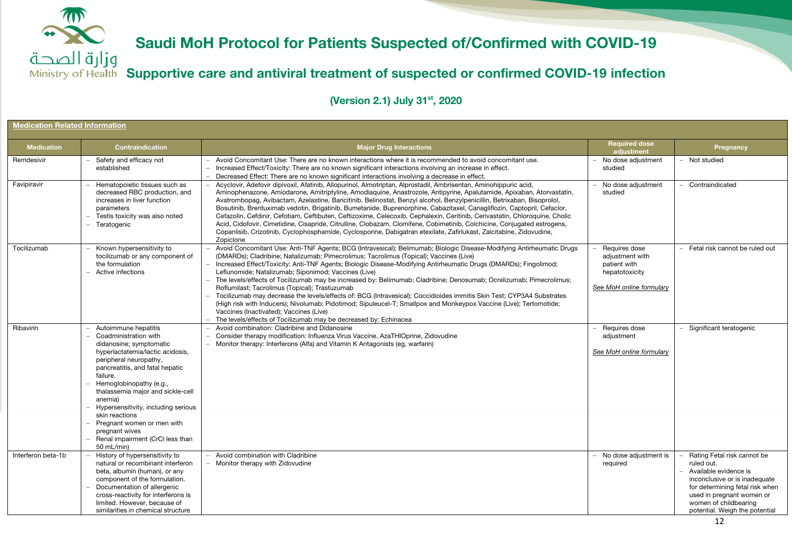وزارة الصحة **Supportive care and antiviral treatment of suspected or confirmed COVID-19 infection**

| <b>Medication Related Information</b> |                                                                                                                                                                                                                                                                                                                                                                                                                               |                                                                                                                                                                                                                                                                                                                                                                                                                                                                                                                                                                                                                                                                                                                                                                                                                                                                                                                                    |                                                                                                |                                                                                                                                                                                                                                |  |  |  |
|---------------------------------------|-------------------------------------------------------------------------------------------------------------------------------------------------------------------------------------------------------------------------------------------------------------------------------------------------------------------------------------------------------------------------------------------------------------------------------|------------------------------------------------------------------------------------------------------------------------------------------------------------------------------------------------------------------------------------------------------------------------------------------------------------------------------------------------------------------------------------------------------------------------------------------------------------------------------------------------------------------------------------------------------------------------------------------------------------------------------------------------------------------------------------------------------------------------------------------------------------------------------------------------------------------------------------------------------------------------------------------------------------------------------------|------------------------------------------------------------------------------------------------|--------------------------------------------------------------------------------------------------------------------------------------------------------------------------------------------------------------------------------|--|--|--|
| <b>Medication</b>                     | <b>Contraindication</b>                                                                                                                                                                                                                                                                                                                                                                                                       | <b>Major Drug Interactions</b>                                                                                                                                                                                                                                                                                                                                                                                                                                                                                                                                                                                                                                                                                                                                                                                                                                                                                                     | <b>Required dose</b><br>adjustment                                                             | Pregnancy                                                                                                                                                                                                                      |  |  |  |
| Remdesivir                            | Safety and efficacy not<br>established                                                                                                                                                                                                                                                                                                                                                                                        | Avoid Concomitant Use: There are no known interactions where it is recommended to avoid concomitant use.<br>Increased Effect/Toxicity: There are no known significant interactions involving an increase in effect.<br>Decreased Effect: There are no known significant interactions involving a decrease in effect.                                                                                                                                                                                                                                                                                                                                                                                                                                                                                                                                                                                                               | - No dose adjustment<br>studied                                                                | - Not studied                                                                                                                                                                                                                  |  |  |  |
| Favipiravir                           | Hematopoietic tissues such as<br>decreased RBC production, and<br>increases in liver function<br>parameters<br>Testis toxicity was also noted<br>Teratogenic                                                                                                                                                                                                                                                                  | Acyclovir, Adefovir dipivoxil, Afatinib, Allopurinol, Almotriptan, Alprostadil, Ambrisentan, Aminohippuric acid,<br>Aminophenazone, Amiodarone, Amitriptyline, Amodiaguine, Anastrozole, Antipyrine, Apalutamide, Apixaban, Atorvastatin,<br>Avatrombopag, Avibactam, Azelastine, Baricitinib, Belinostat, Benzyl alcohol, Benzylpenicillin, Betrixaban, Bisoprolol,<br>Bosutinib, Brentuximab vedotin, Brigatinib, Bumetanide, Buprenorphine, Cabazitaxel, Canagliflozin, Captopril, Cefaclor,<br>Cefazolin, Cefdinir, Cefotiam, Ceftibuten, Ceftizoxime, Celecoxib, Cephalexin, Ceritinib, Cerivastatin, Chloroquine, Cholic<br>Acid, Cidofovir, Cimetidine, Cisapride, Citrulline, Clobazam, Clomifene, Cobimetinib, Colchicine, Conjugated estrogens,<br>Copanlisib, Crizotinib, Cyclophosphamide, Cyclosporine, Dabigatran etexilate, Zafirlukast, Zalcitabine, Zidovudine,<br>Zopiclone                                      | No dose adjustment<br>studied                                                                  | Contraindicated                                                                                                                                                                                                                |  |  |  |
| Tocilizumab                           | Known hypersensitivity to<br>tocilizumab or any component of<br>the formulation<br>Active infections                                                                                                                                                                                                                                                                                                                          | Avoid Concomitant Use: Anti-TNF Agents; BCG (Intravesical); Belimumab; Biologic Disease-Modifying Antirheumatic Drugs<br>(DMARDs); Cladribine; Natalizumab; Pimecrolimus; Tacrolimus (Topical); Vaccines (Live)<br>Increased Effect/Toxicity: Anti-TNF Agents; Biologic Disease-Modifying Antirheumatic Drugs (DMARDs); Fingolimod;<br>Leflunomide; Natalizumab; Siponimod; Vaccines (Live)<br>The levels/effects of Tocilizumab may be increased by: Belimumab; Cladribine; Denosumab; Ocrelizumab; Pimecrolimus;<br>Roflumilast; Tacrolimus (Topical); Trastuzumab<br>Tocilizumab may decrease the levels/effects of: BCG (Intravesical); Coccidioides immitis Skin Test; CYP3A4 Substrates<br>(High risk with Inducers); Nivolumab; Pidotimod; Sipuleucel-T; Smallpox and Monkeypox Vaccine (Live); Tertomotide;<br>Vaccines (Inactivated); Vaccines (Live)<br>The levels/effects of Tocilizumab may be decreased by: Echinacea | Requires dose<br>adjustment with<br>patient with<br>hepatotoxicity<br>See MoH online formulary | Fetal risk cannot be ruled out                                                                                                                                                                                                 |  |  |  |
| Ribavirin                             | Autoimmune hepatitis<br>Coadministration with<br>didanosine; symptomatic<br>hyperlactatemia/lactic acidosis,<br>peripheral neuropathy,<br>pancreatitis, and fatal hepatic<br>failure.<br>Hemoglobinopathy (e.g.,<br>thalassemia major and sickle-cell<br>anemia)<br>Hypersensitivity, including serious<br>skin reactions<br>Pregnant women or men with<br>pregnant wives<br>Renal impairment (CrCl less than<br>$50$ mL/min) | Avoid combination: Cladribine and Didanosine<br>Consider therapy modification: Influenza Virus Vaccine, AzaTHIOprine, Zidovudine<br>- Monitor therapy: Interferons (Alfa) and Vitamin K Antagonists (eg, warfarin)                                                                                                                                                                                                                                                                                                                                                                                                                                                                                                                                                                                                                                                                                                                 | - Requires dose<br>adjustment<br>See MoH online formulary                                      | Significant teratogenic                                                                                                                                                                                                        |  |  |  |
| Interferon beta-1b                    | History of hypersensitivity to<br>natural or recombinant interferon<br>beta, albumin (human), or any<br>component of the formulation.<br>Documentation of allergenic<br>cross-reactivity for interferons is<br>limited. However, because of<br>similarities in chemical structure                                                                                                                                             | Avoid combination with Cladribine<br>Monitor therapy with Zidovudine                                                                                                                                                                                                                                                                                                                                                                                                                                                                                                                                                                                                                                                                                                                                                                                                                                                               | - No dose adjustment is<br>required                                                            | Rating Fetal risk cannot be<br>ruled out.<br>Available evidence is<br>inconclusive or is inadequate<br>for determining fetal risk when<br>used in pregnant women or<br>women of childbearing<br>potential. Weigh the potential |  |  |  |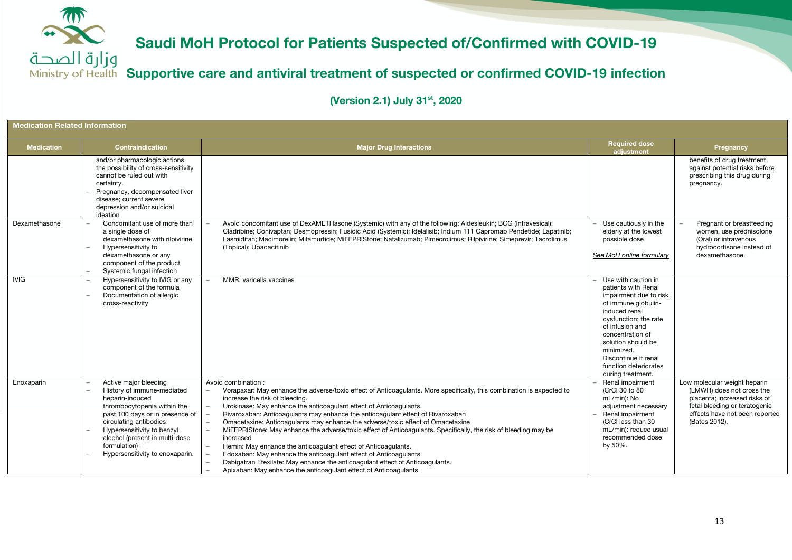وزارة الصحة **Supportive care and antiviral treatment of suspected or confirmed COVID-19 infection**

| <b>Medication Related Information</b> |                                                                                                                                                                                                                                                                                         |                                                                                                                                                                                                                                                                                                                                                                                                                                                                                                                                                                                                                                                                                                                                                                                                                                                        |                                                                                                                                                                                                                                                                                        |                                                                                                                                                                               |  |
|---------------------------------------|-----------------------------------------------------------------------------------------------------------------------------------------------------------------------------------------------------------------------------------------------------------------------------------------|--------------------------------------------------------------------------------------------------------------------------------------------------------------------------------------------------------------------------------------------------------------------------------------------------------------------------------------------------------------------------------------------------------------------------------------------------------------------------------------------------------------------------------------------------------------------------------------------------------------------------------------------------------------------------------------------------------------------------------------------------------------------------------------------------------------------------------------------------------|----------------------------------------------------------------------------------------------------------------------------------------------------------------------------------------------------------------------------------------------------------------------------------------|-------------------------------------------------------------------------------------------------------------------------------------------------------------------------------|--|
| <b>Medication</b>                     | <b>Contraindication</b>                                                                                                                                                                                                                                                                 | <b>Major Drug Interactions</b>                                                                                                                                                                                                                                                                                                                                                                                                                                                                                                                                                                                                                                                                                                                                                                                                                         | <b>Required dose</b><br>adjustment                                                                                                                                                                                                                                                     | Pregnancy                                                                                                                                                                     |  |
|                                       | and/or pharmacologic actions,<br>the possibility of cross-sensitivity<br>cannot be ruled out with<br>certainty.<br>Pregnancy, decompensated liver<br>disease: current severe<br>depression and/or suicidal<br>ideation                                                                  |                                                                                                                                                                                                                                                                                                                                                                                                                                                                                                                                                                                                                                                                                                                                                                                                                                                        |                                                                                                                                                                                                                                                                                        | benefits of drug treatment<br>against potential risks before<br>prescribing this drug during<br>pregnancy.                                                                    |  |
| Dexamethasone                         | Concomitant use of more than<br>a single dose of<br>dexamethasone with rilpivirine<br>Hypersensitivity to<br>dexamethasone or any<br>component of the product<br>Systemic fungal infection                                                                                              | Avoid concomitant use of DexAMETHasone (Systemic) with any of the following: Aldesleukin; BCG (Intravesical);<br>Cladribine; Conivaptan; Desmopressin; Fusidic Acid (Systemic); Idelalisib; Indium 111 Capromab Pendetide; Lapatinib;<br>Lasmiditan; Macimorelin; Mifamurtide; MiFEPRIStone; Natalizumab; Pimecrolimus; Rilpivirine; Simeprevir; Tacrolimus<br>(Topical); Upadacitinib                                                                                                                                                                                                                                                                                                                                                                                                                                                                 | Use cautiously in the<br>elderly at the lowest<br>possible dose<br>See MoH online formulary                                                                                                                                                                                            | Pregnant or breastfeeding<br>women, use prednisolone<br>(Oral) or intravenous<br>hydrocortisone instead of<br>dexamethasone.                                                  |  |
| <b>IVIG</b>                           | Hypersensitivity to IVIG or any<br>component of the formula<br>Documentation of allergic<br>cross-reactivity                                                                                                                                                                            | MMR. varicella vaccines                                                                                                                                                                                                                                                                                                                                                                                                                                                                                                                                                                                                                                                                                                                                                                                                                                | Use with caution in<br>patients with Renal<br>impairment due to risk<br>of immune globulin-<br>induced renal<br>dysfunction; the rate<br>of infusion and<br>concentration of<br>solution should be<br>minimized.<br>Discontinue if renal<br>function deteriorates<br>during treatment. |                                                                                                                                                                               |  |
| Enoxaparin                            | Active major bleeding<br>History of immune-mediated<br>heparin-induced<br>thrombocytopenia within the<br>past 100 days or in presence of<br>circulating antibodies<br>Hypersensitivity to benzyl<br>alcohol (present in multi-dose<br>formulation) -<br>Hypersensitivity to enoxaparin. | Avoid combination:<br>Vorapaxar: May enhance the adverse/toxic effect of Anticoagulants. More specifically, this combination is expected to<br>increase the risk of bleeding.<br>Urokinase: May enhance the anticoagulant effect of Anticoagulants.<br>Rivaroxaban: Anticoagulants may enhance the anticoagulant effect of Rivaroxaban<br>Omacetaxine: Anticoagulants may enhance the adverse/toxic effect of Omacetaxine<br>MiFEPRIStone: May enhance the adverse/toxic effect of Anticoagulants. Specifically, the risk of bleeding may be<br>increased<br>Hemin: May enhance the anticoagulant effect of Anticoagulants.<br>Edoxaban: May enhance the anticoagulant effect of Anticoagulants.<br>Dabigatran Etexilate: May enhance the anticoagulant effect of Anticoagulants.<br>Apixaban: May enhance the anticoagulant effect of Anticoagulants. | Renal impairment<br>(CrCl 30 to 80<br>mL/min): No<br>adjustment necessary<br>Renal impairment<br>(CrCl less than 30<br>mL/min): reduce usual<br>recommended dose<br>by 50%.                                                                                                            | Low molecular weight heparin<br>(LMWH) does not cross the<br>placenta: increased risks of<br>fetal bleeding or teratogenic<br>effects have not been reported<br>(Bates 2012). |  |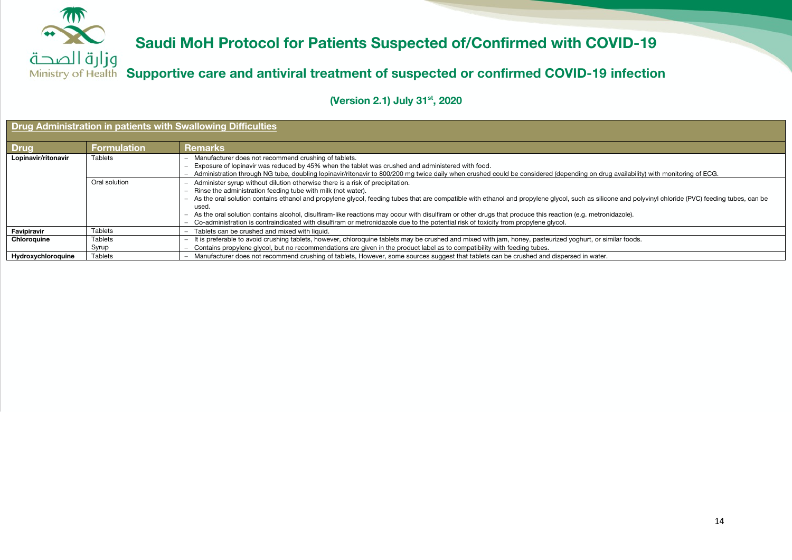

**Supportive care and antiviral treatment of suspected or confirmed COVID-19 infection**

| Drug Administration in patients with Swallowing Difficulties |                         |                                                                                                                                                                                                                                                                                                                                                                                                                                                                                                                                                                                                                                                                                                                              |  |  |  |
|--------------------------------------------------------------|-------------------------|------------------------------------------------------------------------------------------------------------------------------------------------------------------------------------------------------------------------------------------------------------------------------------------------------------------------------------------------------------------------------------------------------------------------------------------------------------------------------------------------------------------------------------------------------------------------------------------------------------------------------------------------------------------------------------------------------------------------------|--|--|--|
| <b>Drug</b>                                                  | <b>Formulation</b>      | <b>Remarks</b>                                                                                                                                                                                                                                                                                                                                                                                                                                                                                                                                                                                                                                                                                                               |  |  |  |
| Lopinavir/ritonavir                                          | <b>Tablets</b>          | Manufacturer does not recommend crushing of tablets.<br>Exposure of lopinavir was reduced by 45% when the tablet was crushed and administered with food.<br>Administration through NG tube, doubling lopinavir/ritonavir to 800/200 mg twice daily when crushed could be considered (depending on drug availability) with monitoring of ECG.<br>$\overline{\phantom{0}}$                                                                                                                                                                                                                                                                                                                                                     |  |  |  |
|                                                              | Oral solution           | Administer syrup without dilution otherwise there is a risk of precipitation.<br>- Rinse the administration feeding tube with milk (not water).<br>As the oral solution contains ethanol and propylene glycol, feeding tubes that are compatible with ethanol and propylene glycol, such as silicone and polyvinyl chloride (PVC) feeding tubes, can be<br>$\overline{\phantom{0}}$<br>used.<br>As the oral solution contains alcohol, disulfiram-like reactions may occur with disulfiram or other drugs that produce this reaction (e.g. metronidazole).<br>Co-administration is contraindicated with disulfiram or metronidazole due to the potential risk of toxicity from propylene glycol.<br>$\overline{\phantom{0}}$ |  |  |  |
| Favipiravir                                                  | <b>Tablets</b>          | Tablets can be crushed and mixed with liquid.                                                                                                                                                                                                                                                                                                                                                                                                                                                                                                                                                                                                                                                                                |  |  |  |
| Chloroquine                                                  | <b>Tablets</b><br>Syrup | - It is preferable to avoid crushing tablets, however, chloroquine tablets may be crushed and mixed with jam, honey, pasteurized yoghurt, or similar foods.<br>Contains propylene glycol, but no recommendations are given in the product label as to compatibility with feeding tubes.                                                                                                                                                                                                                                                                                                                                                                                                                                      |  |  |  |
| Hydroxychloroquine                                           | <b>Tablets</b>          | Manufacturer does not recommend crushing of tablets, However, some sources suggest that tablets can be crushed and dispersed in water.                                                                                                                                                                                                                                                                                                                                                                                                                                                                                                                                                                                       |  |  |  |